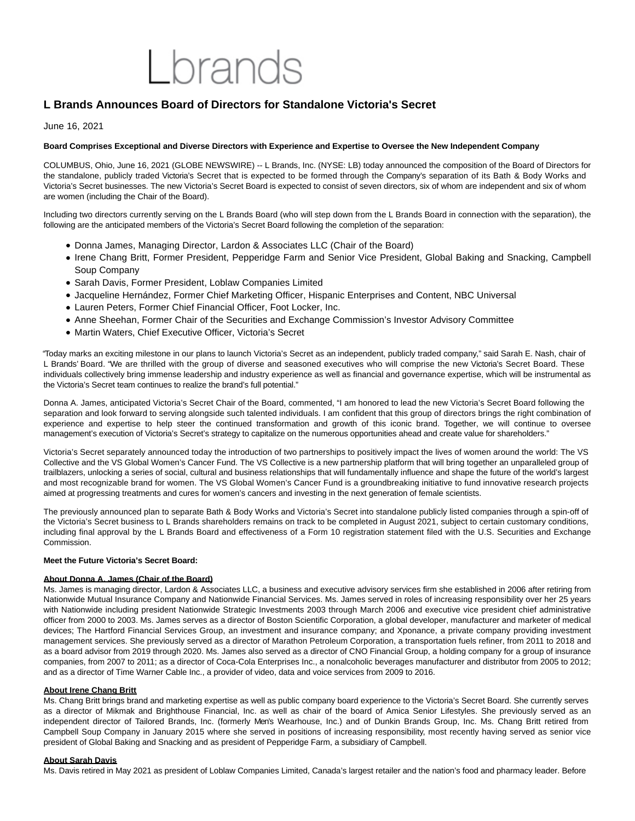# I brands

# **L Brands Announces Board of Directors for Standalone Victoria's Secret**

# June 16, 2021

# **Board Comprises Exceptional and Diverse Directors with Experience and Expertise to Oversee the New Independent Company**

COLUMBUS, Ohio, June 16, 2021 (GLOBE NEWSWIRE) -- L Brands, Inc. (NYSE: LB) today announced the composition of the Board of Directors for the standalone, publicly traded Victoria's Secret that is expected to be formed through the Company's separation of its Bath & Body Works and Victoria's Secret businesses. The new Victoria's Secret Board is expected to consist of seven directors, six of whom are independent and six of whom are women (including the Chair of the Board).

Including two directors currently serving on the L Brands Board (who will step down from the L Brands Board in connection with the separation), the following are the anticipated members of the Victoria's Secret Board following the completion of the separation:

- Donna James, Managing Director, Lardon & Associates LLC (Chair of the Board)
- Irene Chang Britt, Former President, Pepperidge Farm and Senior Vice President, Global Baking and Snacking, Campbell Soup Company
- Sarah Davis, Former President, Loblaw Companies Limited
- Jacqueline Hernández, Former Chief Marketing Officer, Hispanic Enterprises and Content, NBC Universal
- Lauren Peters, Former Chief Financial Officer, Foot Locker, Inc.
- Anne Sheehan, Former Chair of the Securities and Exchange Commission's Investor Advisory Committee
- Martin Waters, Chief Executive Officer, Victoria's Secret

"Today marks an exciting milestone in our plans to launch Victoria's Secret as an independent, publicly traded company," said Sarah E. Nash, chair of L Brands' Board. "We are thrilled with the group of diverse and seasoned executives who will comprise the new Victoria's Secret Board. These individuals collectively bring immense leadership and industry experience as well as financial and governance expertise, which will be instrumental as the Victoria's Secret team continues to realize the brand's full potential."

Donna A. James, anticipated Victoria's Secret Chair of the Board, commented, "I am honored to lead the new Victoria's Secret Board following the separation and look forward to serving alongside such talented individuals. I am confident that this group of directors brings the right combination of experience and expertise to help steer the continued transformation and growth of this iconic brand. Together, we will continue to oversee management's execution of Victoria's Secret's strategy to capitalize on the numerous opportunities ahead and create value for shareholders."

Victoria's Secret separately announced today the introduction of two partnerships to positively impact the lives of women around the world: The VS Collective and the VS Global Women's Cancer Fund. The VS Collective is a new partnership platform that will bring together an unparalleled group of trailblazers, unlocking a series of social, cultural and business relationships that will fundamentally influence and shape the future of the world's largest and most recognizable brand for women. The VS Global Women's Cancer Fund is a groundbreaking initiative to fund innovative research projects aimed at progressing treatments and cures for women's cancers and investing in the next generation of female scientists.

The previously announced plan to separate Bath & Body Works and Victoria's Secret into standalone publicly listed companies through a spin-off of the Victoria's Secret business to L Brands shareholders remains on track to be completed in August 2021, subject to certain customary conditions, including final approval by the L Brands Board and effectiveness of a Form 10 registration statement filed with the U.S. Securities and Exchange Commission.

## **Meet the Future Victoria's Secret Board:**

## **About Donna A. James (Chair of the Board)**

Ms. James is managing director, Lardon & Associates LLC, a business and executive advisory services firm she established in 2006 after retiring from Nationwide Mutual Insurance Company and Nationwide Financial Services. Ms. James served in roles of increasing responsibility over her 25 years with Nationwide including president Nationwide Strategic Investments 2003 through March 2006 and executive vice president chief administrative officer from 2000 to 2003. Ms. James serves as a director of Boston Scientific Corporation, a global developer, manufacturer and marketer of medical devices; The Hartford Financial Services Group, an investment and insurance company; and Xponance, a private company providing investment management services. She previously served as a director of Marathon Petroleum Corporation, a transportation fuels refiner, from 2011 to 2018 and as a board advisor from 2019 through 2020. Ms. James also served as a director of CNO Financial Group, a holding company for a group of insurance companies, from 2007 to 2011; as a director of Coca-Cola Enterprises Inc., a nonalcoholic beverages manufacturer and distributor from 2005 to 2012; and as a director of Time Warner Cable Inc., a provider of video, data and voice services from 2009 to 2016.

## **About Irene Chang Britt**

Ms. Chang Britt brings brand and marketing expertise as well as public company board experience to the Victoria's Secret Board. She currently serves as a director of Mikmak and Brighthouse Financial, Inc. as well as chair of the board of Amica Senior Lifestyles. She previously served as an independent director of Tailored Brands, Inc. (formerly Men's Wearhouse, Inc.) and of Dunkin Brands Group, Inc. Ms. Chang Britt retired from Campbell Soup Company in January 2015 where she served in positions of increasing responsibility, most recently having served as senior vice president of Global Baking and Snacking and as president of Pepperidge Farm, a subsidiary of Campbell.

## **About Sarah Davis**

Ms. Davis retired in May 2021 as president of Loblaw Companies Limited, Canada's largest retailer and the nation's food and pharmacy leader. Before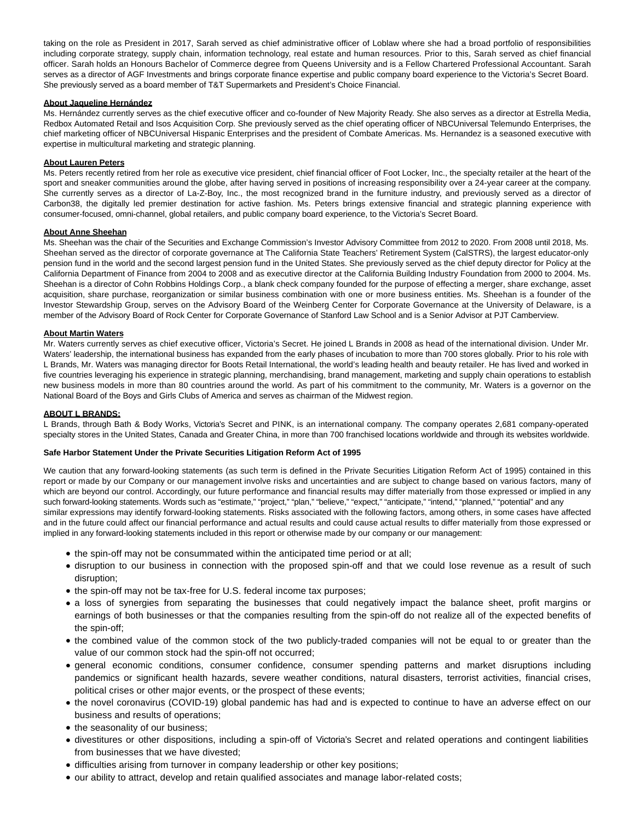taking on the role as President in 2017, Sarah served as chief administrative officer of Loblaw where she had a broad portfolio of responsibilities including corporate strategy, supply chain, information technology, real estate and human resources. Prior to this, Sarah served as chief financial officer. Sarah holds an Honours Bachelor of Commerce degree from Queens University and is a Fellow Chartered Professional Accountant. Sarah serves as a director of AGF Investments and brings corporate finance expertise and public company board experience to the Victoria's Secret Board. She previously served as a board member of T&T Supermarkets and President's Choice Financial.

## **About Jaqueline Hernández**

Ms. Hernández currently serves as the chief executive officer and co-founder of New Majority Ready. She also serves as a director at Estrella Media, Redbox Automated Retail and Isos Acquisition Corp. She previously served as the chief operating officer of NBCUniversal Telemundo Enterprises, the chief marketing officer of NBCUniversal Hispanic Enterprises and the president of Combate Americas. Ms. Hernandez is a seasoned executive with expertise in multicultural marketing and strategic planning.

#### **About Lauren Peters**

Ms. Peters recently retired from her role as executive vice president, chief financial officer of Foot Locker, Inc., the specialty retailer at the heart of the sport and sneaker communities around the globe, after having served in positions of increasing responsibility over a 24-year career at the company. She currently serves as a director of La-Z-Boy, Inc., the most recognized brand in the furniture industry, and previously served as a director of Carbon38, the digitally led premier destination for active fashion. Ms. Peters brings extensive financial and strategic planning experience with consumer-focused, omni-channel, global retailers, and public company board experience, to the Victoria's Secret Board.

#### **About Anne Sheehan**

Ms. Sheehan was the chair of the Securities and Exchange Commission's Investor Advisory Committee from 2012 to 2020. From 2008 until 2018, Ms. Sheehan served as the director of corporate governance at The California State Teachers' Retirement System (CalSTRS), the largest educator-only pension fund in the world and the second largest pension fund in the United States. She previously served as the chief deputy director for Policy at the California Department of Finance from 2004 to 2008 and as executive director at the California Building Industry Foundation from 2000 to 2004. Ms. Sheehan is a director of Cohn Robbins Holdings Corp., a blank check company founded for the purpose of effecting a merger, share exchange, asset acquisition, share purchase, reorganization or similar business combination with one or more business entities. Ms. Sheehan is a founder of the Investor Stewardship Group, serves on the Advisory Board of the Weinberg Center for Corporate Governance at the University of Delaware, is a member of the Advisory Board of Rock Center for Corporate Governance of Stanford Law School and is a Senior Advisor at PJT Camberview.

#### **About Martin Waters**

Mr. Waters currently serves as chief executive officer, Victoria's Secret. He joined L Brands in 2008 as head of the international division. Under Mr. Waters' leadership, the international business has expanded from the early phases of incubation to more than 700 stores globally. Prior to his role with L Brands, Mr. Waters was managing director for Boots Retail International, the world's leading health and beauty retailer. He has lived and worked in five countries leveraging his experience in strategic planning, merchandising, brand management, marketing and supply chain operations to establish new business models in more than 80 countries around the world. As part of his commitment to the community, Mr. Waters is a governor on the National Board of the Boys and Girls Clubs of America and serves as chairman of the Midwest region.

#### **ABOUT L BRANDS:**

L Brands, through Bath & Body Works, Victoria's Secret and PINK, is an international company. The company operates 2,681 company-operated specialty stores in the United States, Canada and Greater China, in more than 700 franchised locations worldwide and through its websites worldwide.

#### **Safe Harbor Statement Under the Private Securities Litigation Reform Act of 1995**

We caution that any forward-looking statements (as such term is defined in the Private Securities Litigation Reform Act of 1995) contained in this report or made by our Company or our management involve risks and uncertainties and are subject to change based on various factors, many of which are beyond our control. Accordingly, our future performance and financial results may differ materially from those expressed or implied in any such forward-looking statements. Words such as "estimate," "project," "plan," "believe," "expect," "anticipate," "intend," "planned," "potential" and any similar expressions may identify forward-looking statements. Risks associated with the following factors, among others, in some cases have affected and in the future could affect our financial performance and actual results and could cause actual results to differ materially from those expressed or implied in any forward-looking statements included in this report or otherwise made by our company or our management:

- the spin-off may not be consummated within the anticipated time period or at all;
- disruption to our business in connection with the proposed spin-off and that we could lose revenue as a result of such disruption;
- the spin-off may not be tax-free for U.S. federal income tax purposes;
- a loss of synergies from separating the businesses that could negatively impact the balance sheet, profit margins or earnings of both businesses or that the companies resulting from the spin-off do not realize all of the expected benefits of the spin-off;
- the combined value of the common stock of the two publicly-traded companies will not be equal to or greater than the value of our common stock had the spin-off not occurred;
- general economic conditions, consumer confidence, consumer spending patterns and market disruptions including pandemics or significant health hazards, severe weather conditions, natural disasters, terrorist activities, financial crises, political crises or other major events, or the prospect of these events;
- the novel coronavirus (COVID-19) global pandemic has had and is expected to continue to have an adverse effect on our business and results of operations;
- the seasonality of our business;
- divestitures or other dispositions, including a spin-off of Victoria's Secret and related operations and contingent liabilities from businesses that we have divested;
- difficulties arising from turnover in company leadership or other key positions;
- our ability to attract, develop and retain qualified associates and manage labor-related costs;